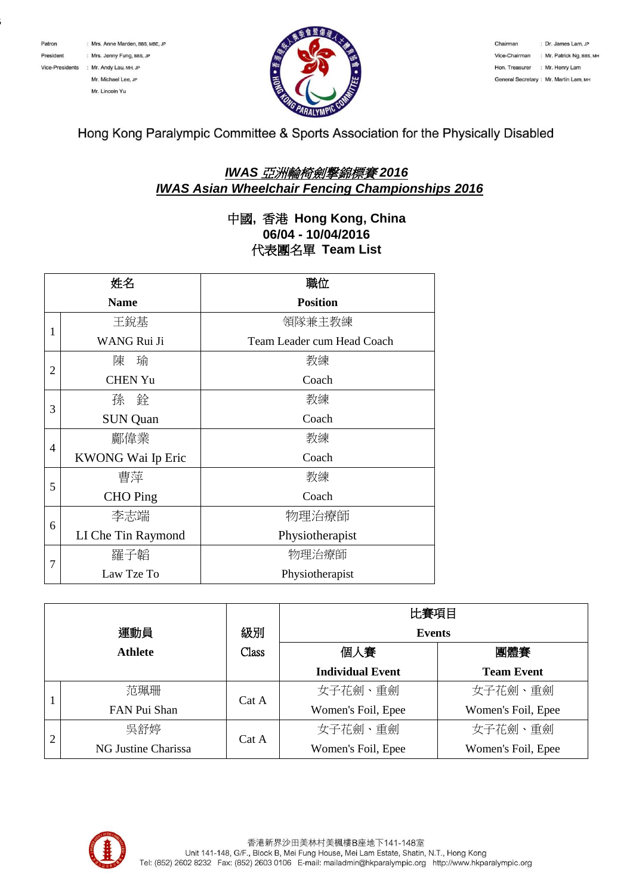

 $\mathbf{C}$ 



Chairman : Dr. James Lam, JP Vice-Chairman : Mr. Patrick Ng, BBS, MH Hon. Treasurer : Mr. Henry Lam General Secretary: Mr. Martin Lam. MH

Hong Kong Paralympic Committee & Sports Association for the Physically Disabled

## *IWAS* 亞洲輪椅劍撃錦標賽 *2016 IWAS Asian Wheelchair Fencing Championships 2016*

## 中國**,** 香港 **Hong Kong, China 06/04 - 10/04/2016** 代表團名單 **Team List**

| 姓名             |                    | 職位                         |  |
|----------------|--------------------|----------------------------|--|
|                | <b>Name</b>        | <b>Position</b>            |  |
|                | 王銳基                | 領隊兼主教練                     |  |
| 1              | WANG Rui Ji        | Team Leader cum Head Coach |  |
| $\overline{2}$ | 陳<br>瑜             | 教練                         |  |
|                | <b>CHEN Yu</b>     | Coach                      |  |
| 3              | 孫 銓                | 教練                         |  |
|                | <b>SUN Quan</b>    | Coach                      |  |
| 4              | 鄺偉業                | 教練                         |  |
|                | KWONG Wai Ip Eric  | Coach                      |  |
| 5              | 曹萍                 | 教練                         |  |
|                | <b>CHO</b> Ping    | Coach                      |  |
| 6              | 李志端                | 物理治療師                      |  |
|                | LI Che Tin Raymond | Physiotherapist            |  |
| 7              | 羅子韜                | 物理治療師                      |  |
|                | Law Tze To         | Physiotherapist            |  |

| 運動員            |                     | 級別    | 比賽項目<br><b>Events</b>   |                    |
|----------------|---------------------|-------|-------------------------|--------------------|
|                |                     |       |                         |                    |
|                |                     |       | <b>Individual Event</b> | <b>Team Event</b>  |
|                | 范珮珊                 | Cat A | 女子花劍、重劍                 | 女子花劍、重劍            |
|                | FAN Pui Shan        |       | Women's Foil, Epee      | Women's Foil, Epee |
| $\overline{2}$ | 吳舒婷                 | Cat A | 女子花劍、重劍                 | 女子花劍、重劍            |
|                | NG Justine Charissa |       | Women's Foil, Epee      | Women's Foil, Epee |